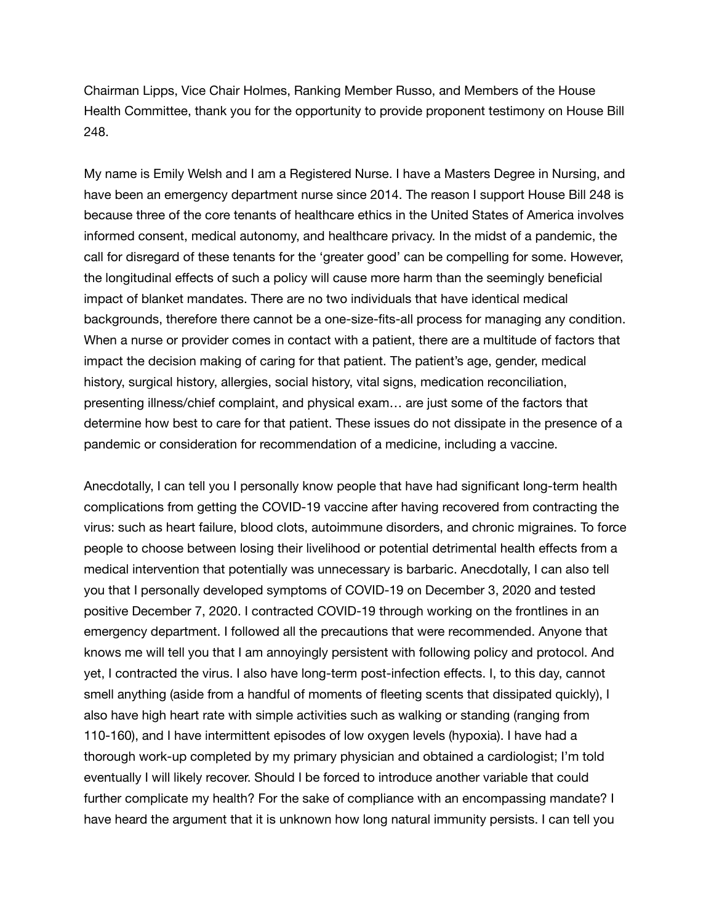Chairman Lipps, Vice Chair Holmes, Ranking Member Russo, and Members of the House Health Committee, thank you for the opportunity to provide proponent testimony on House Bill 248.

My name is Emily Welsh and I am a Registered Nurse. I have a Masters Degree in Nursing, and have been an emergency department nurse since 2014. The reason I support House Bill 248 is because three of the core tenants of healthcare ethics in the United States of America involves informed consent, medical autonomy, and healthcare privacy. In the midst of a pandemic, the call for disregard of these tenants for the 'greater good' can be compelling for some. However, the longitudinal effects of such a policy will cause more harm than the seemingly beneficial impact of blanket mandates. There are no two individuals that have identical medical backgrounds, therefore there cannot be a one-size-fits-all process for managing any condition. When a nurse or provider comes in contact with a patient, there are a multitude of factors that impact the decision making of caring for that patient. The patient's age, gender, medical history, surgical history, allergies, social history, vital signs, medication reconciliation, presenting illness/chief complaint, and physical exam… are just some of the factors that determine how best to care for that patient. These issues do not dissipate in the presence of a pandemic or consideration for recommendation of a medicine, including a vaccine.

Anecdotally, I can tell you I personally know people that have had significant long-term health complications from getting the COVID-19 vaccine after having recovered from contracting the virus: such as heart failure, blood clots, autoimmune disorders, and chronic migraines. To force people to choose between losing their livelihood or potential detrimental health effects from a medical intervention that potentially was unnecessary is barbaric. Anecdotally, I can also tell you that I personally developed symptoms of COVID-19 on December 3, 2020 and tested positive December 7, 2020. I contracted COVID-19 through working on the frontlines in an emergency department. I followed all the precautions that were recommended. Anyone that knows me will tell you that I am annoyingly persistent with following policy and protocol. And yet, I contracted the virus. I also have long-term post-infection effects. I, to this day, cannot smell anything (aside from a handful of moments of fleeting scents that dissipated quickly), I also have high heart rate with simple activities such as walking or standing (ranging from 110-160), and I have intermittent episodes of low oxygen levels (hypoxia). I have had a thorough work-up completed by my primary physician and obtained a cardiologist; I'm told eventually I will likely recover. Should I be forced to introduce another variable that could further complicate my health? For the sake of compliance with an encompassing mandate? I have heard the argument that it is unknown how long natural immunity persists. I can tell you